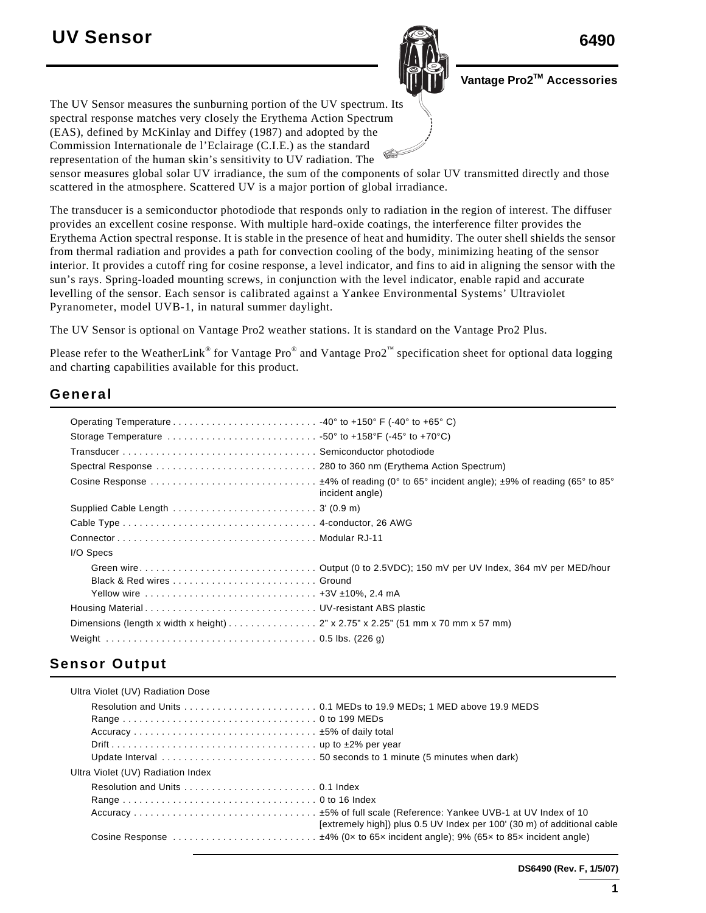

Vantage Pro2<sup>™</sup> Accessories

The UV Sensor measures the sunburning portion of the UV spectrum. Its spectral response matches very closely the Erythema Action Spectrum (EAS), defined by McKinlay and Diffey (1987) and adopted by the Commission Internationale de l'Eclairage (C.I.E.) as the standard representation of the human skin's sensitivity to UV radiation. The

sensor measures global solar UV irradiance, the sum of the components of solar UV transmitted directly and those scattered in the atmosphere. Scattered UV is a major portion of global irradiance.

The transducer is a semiconductor photodiode that responds only to radiation in the region of interest. The diffuser provides an excellent cosine response. With multiple hard-oxide coatings, the interference filter provides the Erythema Action spectral response. It is stable in the presence of heat and humidity. The outer shell shields the sensor from thermal radiation and provides a path for convection cooling of the body, minimizing heating of the sensor interior. It provides a cutoff ring for cosine response, a level indicator, and fins to aid in aligning the sensor with the sun's rays. Spring-loaded mounting screws, in conjunction with the level indicator, enable rapid and accurate levelling of the sensor. Each sensor is calibrated against a Yankee Environmental Systems' Ultraviolet Pyranometer, model UVB-1, in natural summer daylight.

The UV Sensor is optional on Vantage Pro2 weather stations. It is standard on the Vantage Pro2 Plus.

Please refer to the WeatherLink® for Vantage Pro® and Vantage Pro2™ specification sheet for optional data logging and charting capabilities available for this product.

#### **General**

| Storage Temperature 50° to +158°F (-45° to +70°C)                               |                 |
|---------------------------------------------------------------------------------|-----------------|
|                                                                                 |                 |
|                                                                                 |                 |
|                                                                                 | incident angle) |
|                                                                                 |                 |
|                                                                                 |                 |
|                                                                                 |                 |
| I/O Specs                                                                       |                 |
| Yellow wire  +3V ±10%, 2.4 mA                                                   |                 |
|                                                                                 |                 |
| Dimensions (length x width x height) 2" x 2.75" x 2.25" (51 mm x 70 mm x 57 mm) |                 |
|                                                                                 |                 |

### **Sensor Output**

| Ultra Violet (UV) Radiation Dose  |                                                                         |
|-----------------------------------|-------------------------------------------------------------------------|
|                                   |                                                                         |
|                                   |                                                                         |
|                                   |                                                                         |
|                                   |                                                                         |
|                                   |                                                                         |
| Ultra Violet (UV) Radiation Index |                                                                         |
|                                   |                                                                         |
|                                   |                                                                         |
|                                   | [extremely high]) plus 0.5 UV Index per 100' (30 m) of additional cable |
|                                   |                                                                         |